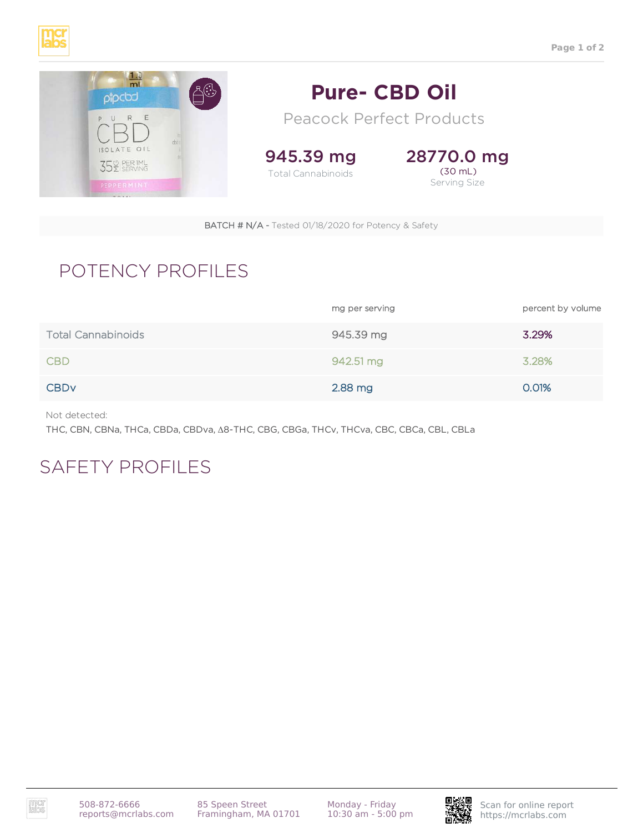



## **Pure- CBD Oil**

Peacock Perfect Products

945.39 mg Total Cannabinoids



## POTENCY PROFILES

|                                                                                                          | <b>BATCH # N/A - Tested 01/18/2020 for Potency &amp; Safety</b> |                                       |     |                                               |
|----------------------------------------------------------------------------------------------------------|-----------------------------------------------------------------|---------------------------------------|-----|-----------------------------------------------|
| POTENCY PROFILES                                                                                         |                                                                 |                                       |     |                                               |
|                                                                                                          |                                                                 | mg per serving                        |     | percent by volume                             |
| <b>Total Cannabinoids</b>                                                                                |                                                                 | 945.39 mg                             |     | 3.29%                                         |
| <b>CBD</b>                                                                                               |                                                                 | 942.51 mg                             |     | 3.28%                                         |
| <b>CBD<sub>V</sub></b>                                                                                   |                                                                 | 2.88 mg                               |     | 0.01%                                         |
| Not detected:<br>THC, CBN, CBNa, THCa, CBDa, CBDva, A8-THC, CBG, CBGa, THCv, THCva, CBC, CBCa, CBL, CBLa |                                                                 |                                       |     |                                               |
| SAFETY PROFILES                                                                                          |                                                                 |                                       |     |                                               |
|                                                                                                          |                                                                 |                                       |     |                                               |
|                                                                                                          |                                                                 |                                       |     |                                               |
|                                                                                                          |                                                                 |                                       |     |                                               |
|                                                                                                          |                                                                 |                                       |     |                                               |
|                                                                                                          |                                                                 |                                       |     |                                               |
|                                                                                                          |                                                                 |                                       |     |                                               |
|                                                                                                          |                                                                 |                                       |     |                                               |
|                                                                                                          |                                                                 |                                       |     |                                               |
|                                                                                                          |                                                                 |                                       |     |                                               |
|                                                                                                          |                                                                 |                                       |     |                                               |
|                                                                                                          |                                                                 |                                       |     |                                               |
| 508-872-6666<br>reports@mcrlabs.com                                                                      | 85 Speen Street<br>Framingham, MA 01701                         | Monday - Friday<br>10:30 am - 5:00 pm | 毁数果 | Scan for online report<br>https://mcrlabs.com |

# SAFETY PROFILES